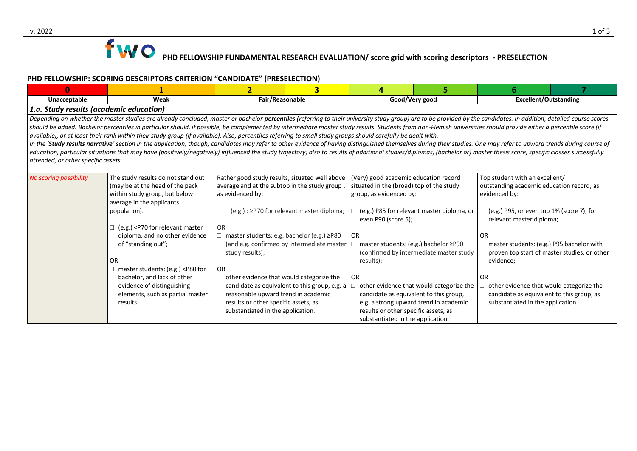

### **PHD FELLOWSHIP: SCORING DESCRIPTORS CRITERION "CANDIDATE" (PRESELECTION)**

| $\Omega$                                                                                                                                                                                                                                                                                                                                                                                                                                                                                                                                                                                                                                                                                                                                                                                                                                                                                                                                                                                                                                                                                              |                                                                                                                                                                                                                                                                                                                                                                                                                                                                                                                                                                                                                                                                                                                                                                                                                                                                                                                                                                                     | $\overline{2}$  | 3                                                                                                                                                                                                                                                                                                                                                                                                                                                                                                                         | 4              |                                                                                                                                                                                                                                                                                                                                                                                                                                  | 6                            |  |  |  |  |  |  |  |
|-------------------------------------------------------------------------------------------------------------------------------------------------------------------------------------------------------------------------------------------------------------------------------------------------------------------------------------------------------------------------------------------------------------------------------------------------------------------------------------------------------------------------------------------------------------------------------------------------------------------------------------------------------------------------------------------------------------------------------------------------------------------------------------------------------------------------------------------------------------------------------------------------------------------------------------------------------------------------------------------------------------------------------------------------------------------------------------------------------|-------------------------------------------------------------------------------------------------------------------------------------------------------------------------------------------------------------------------------------------------------------------------------------------------------------------------------------------------------------------------------------------------------------------------------------------------------------------------------------------------------------------------------------------------------------------------------------------------------------------------------------------------------------------------------------------------------------------------------------------------------------------------------------------------------------------------------------------------------------------------------------------------------------------------------------------------------------------------------------|-----------------|---------------------------------------------------------------------------------------------------------------------------------------------------------------------------------------------------------------------------------------------------------------------------------------------------------------------------------------------------------------------------------------------------------------------------------------------------------------------------------------------------------------------------|----------------|----------------------------------------------------------------------------------------------------------------------------------------------------------------------------------------------------------------------------------------------------------------------------------------------------------------------------------------------------------------------------------------------------------------------------------|------------------------------|--|--|--|--|--|--|--|
| Unacceptable                                                                                                                                                                                                                                                                                                                                                                                                                                                                                                                                                                                                                                                                                                                                                                                                                                                                                                                                                                                                                                                                                          | Weak                                                                                                                                                                                                                                                                                                                                                                                                                                                                                                                                                                                                                                                                                                                                                                                                                                                                                                                                                                                | Fair/Reasonable |                                                                                                                                                                                                                                                                                                                                                                                                                                                                                                                           | Good/Very good |                                                                                                                                                                                                                                                                                                                                                                                                                                  | <b>Excellent/Outstanding</b> |  |  |  |  |  |  |  |
| 1.a. Study results (academic education)                                                                                                                                                                                                                                                                                                                                                                                                                                                                                                                                                                                                                                                                                                                                                                                                                                                                                                                                                                                                                                                               |                                                                                                                                                                                                                                                                                                                                                                                                                                                                                                                                                                                                                                                                                                                                                                                                                                                                                                                                                                                     |                 |                                                                                                                                                                                                                                                                                                                                                                                                                                                                                                                           |                |                                                                                                                                                                                                                                                                                                                                                                                                                                  |                              |  |  |  |  |  |  |  |
| Depending on whether the master studies are already concluded, master or bachelor percentiles (referring to their university study group) are to be provided by the candidates. In addition, detailed course scores<br>should be added. Bachelor percentiles in particular should, if possible, be complemented by intermediate master study results. Students from non-Flemish universities should provide either a percentile score (if<br>available), or at least their rank within their study group (if available). Also, percentiles referring to small study groups should carefully be dealt with.<br>In the 'Study results narrative' section in the application, though, candidates may refer to other evidence of having distinguished themselves during their studies. One may refer to upward trends during course of<br>education, particular situations that may have (positively/negatively) influenced the study trajectory; also to results of additional studies/diplomas, (bachelor or) master thesis score, specific classes successfully<br>attended, or other specific assets. |                                                                                                                                                                                                                                                                                                                                                                                                                                                                                                                                                                                                                                                                                                                                                                                                                                                                                                                                                                                     |                 |                                                                                                                                                                                                                                                                                                                                                                                                                                                                                                                           |                |                                                                                                                                                                                                                                                                                                                                                                                                                                  |                              |  |  |  |  |  |  |  |
| No scoring possibility                                                                                                                                                                                                                                                                                                                                                                                                                                                                                                                                                                                                                                                                                                                                                                                                                                                                                                                                                                                                                                                                                | The study results do not stand out<br>Rather good study results, situated well above<br>(may be at the head of the pack<br>average and at the subtop in the study group,<br>within study group, but below<br>as evidenced by:<br>average in the applicants<br>population).<br>(e.g.) : ≥P70 for relevant master diploma;<br>(e.g.) <p70 for="" master<br="" relevant=""><b>OR</b><br/>master students: e.g. bachelor (e.g.) ≥P80<br/>diploma, and no other evidence<br/>of "standing out";<br/>(and e.g. confirmed by intermediate master<br/>study results);<br/><b>OR</b><br/>master students: (e.g.) <p80 for<br=""><b>OR</b><br/>bachelor, and lack of other<br/>other evidence that would categorize the<br/>candidate as equivalent to this group, e.g. a<br/>evidence of distinguishing<br/>reasonable upward trend in academic<br/>elements, such as partial master<br/>results or other specific assets, as<br/>results.<br/>substantiated in the application.</p80></p70> |                 | (Very) good academic education record<br>situated in the (broad) top of the study<br>group, as evidenced by:<br>(e.g.) P85 for relevant master diploma, or<br>even P90 (score 5);<br><b>OR</b><br>master students: (e.g.) bachelor ≥P90<br>(confirmed by intermediate master study<br>results);<br><b>OR</b><br>other evidence that would categorize the<br>candidate as equivalent to this group,<br>e.g. a strong upward trend in academic<br>results or other specific assets, as<br>substantiated in the application. |                | Top student with an excellent/<br>outstanding academic education record, as<br>evidenced by:<br>(e.g.) P95, or even top 1% (score 7), for<br>relevant master diploma;<br>0R<br>master students: (e.g.) P95 bachelor with<br>proven top start of master studies, or other<br>evidence;<br><b>OR</b><br>other evidence that would categorize the<br>candidate as equivalent to this group, as<br>substantiated in the application. |                              |  |  |  |  |  |  |  |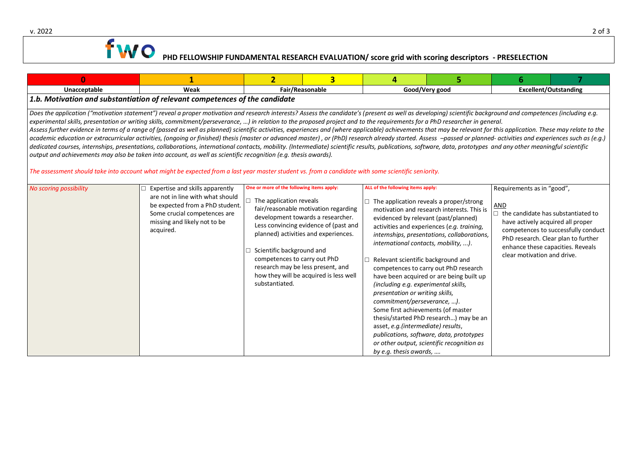

# **PHD FELLOWSHIP FUNDAMENTAL RESEARCH EVALUATION/ score grid with scoring descriptors - PRESELECTION**

| $\bf{0}$                                                                                                                                                                                                                                                                                                                                                                                                                                                                                                                                                                                                                                                                                                                                                                                                                                                                                                                                                                                                                                                                                                                                                                                                                                                                                                                                   | 1                                                                                                                                                                                   | $\overline{2}$                                                                                                                                                                                         | $\overline{\mathbf{3}}$                                                                                                                                                                              | 4                                                                                                                                                                                                                                                                                                                                                                        | 5                                                                                                                                                                                                                                                                                                                                                                                                           | 6                                                                                                                                                         |                                                                                                                 |  |  |  |  |  |  |
|--------------------------------------------------------------------------------------------------------------------------------------------------------------------------------------------------------------------------------------------------------------------------------------------------------------------------------------------------------------------------------------------------------------------------------------------------------------------------------------------------------------------------------------------------------------------------------------------------------------------------------------------------------------------------------------------------------------------------------------------------------------------------------------------------------------------------------------------------------------------------------------------------------------------------------------------------------------------------------------------------------------------------------------------------------------------------------------------------------------------------------------------------------------------------------------------------------------------------------------------------------------------------------------------------------------------------------------------|-------------------------------------------------------------------------------------------------------------------------------------------------------------------------------------|--------------------------------------------------------------------------------------------------------------------------------------------------------------------------------------------------------|------------------------------------------------------------------------------------------------------------------------------------------------------------------------------------------------------|--------------------------------------------------------------------------------------------------------------------------------------------------------------------------------------------------------------------------------------------------------------------------------------------------------------------------------------------------------------------------|-------------------------------------------------------------------------------------------------------------------------------------------------------------------------------------------------------------------------------------------------------------------------------------------------------------------------------------------------------------------------------------------------------------|-----------------------------------------------------------------------------------------------------------------------------------------------------------|-----------------------------------------------------------------------------------------------------------------|--|--|--|--|--|--|
| Unacceptable                                                                                                                                                                                                                                                                                                                                                                                                                                                                                                                                                                                                                                                                                                                                                                                                                                                                                                                                                                                                                                                                                                                                                                                                                                                                                                                               | Weak                                                                                                                                                                                | Fair/Reasonable                                                                                                                                                                                        |                                                                                                                                                                                                      | Good/Very good                                                                                                                                                                                                                                                                                                                                                           |                                                                                                                                                                                                                                                                                                                                                                                                             | <b>Excellent/Outstanding</b>                                                                                                                              |                                                                                                                 |  |  |  |  |  |  |
| 1.b. Motivation and substantiation of relevant competences of the candidate                                                                                                                                                                                                                                                                                                                                                                                                                                                                                                                                                                                                                                                                                                                                                                                                                                                                                                                                                                                                                                                                                                                                                                                                                                                                |                                                                                                                                                                                     |                                                                                                                                                                                                        |                                                                                                                                                                                                      |                                                                                                                                                                                                                                                                                                                                                                          |                                                                                                                                                                                                                                                                                                                                                                                                             |                                                                                                                                                           |                                                                                                                 |  |  |  |  |  |  |
| Does the application ("motivation statement") reveal a proper motivation and research interests? Assess the candidate's (present as well as developing) scientific background and competences (including e.g.<br>experimental skills, presentation or writing skills, commitment/perseverance, ) in relation to the proposed project and to the requirements for a PhD researcher in general.<br>Assess further evidence in terms of a range of (passed as well as planned) scientific activities, experiences and (where applicable) achievements that may be relevant for this application. These may relate to the<br>academic education or extracurricular activities, (ongoing or finished) thesis (master or advanced master), or (PhD) research already started. Assess -passed or planned- activities and experiences such as (e.g.)<br>dedicated courses, internships, presentations, collaborations, international contacts, mobility. (Intermediate) scientific results, publications, software, data, prototypes and any other meaningful scientific<br>output and achievements may also be taken into account, as well as scientific recognition (e.g. thesis awards).<br>The assessment should take into account what might be expected from a last year master student vs. from a candidate with some scientific seniority. |                                                                                                                                                                                     |                                                                                                                                                                                                        |                                                                                                                                                                                                      |                                                                                                                                                                                                                                                                                                                                                                          |                                                                                                                                                                                                                                                                                                                                                                                                             |                                                                                                                                                           |                                                                                                                 |  |  |  |  |  |  |
| No scoring possibility                                                                                                                                                                                                                                                                                                                                                                                                                                                                                                                                                                                                                                                                                                                                                                                                                                                                                                                                                                                                                                                                                                                                                                                                                                                                                                                     | Expertise and skills apparently<br>are not in line with what should<br>be expected from a PhD student.<br>Some crucial competences are<br>missing and likely not to be<br>acquired. | One or more of the following items apply:<br>$\Box$ The application reveals<br>$\Box$ Scientific background and<br>competences to carry out PhD<br>research may be less present, and<br>substantiated. | fair/reasonable motivation regarding<br>development towards a researcher.<br>Less convincing evidence of (past and<br>planned) activities and experiences.<br>how they will be acquired is less well | ALL of the following items apply:<br>evidenced by relevant (past/planned)<br>international contacts, mobility, ).<br>Relevant scientific background and<br>(including e.g. experimental skills,<br>presentation or writing skills,<br>commitment/perseverance, ).<br>Some first achievements (of master<br>asset, e.g. (intermediate) results,<br>by e.g. thesis awards, | The application reveals a proper/strong<br>motivation and research interests. This is<br>activities and experiences (e.g. training,<br>internships, presentations, collaborations,<br>competences to carry out PhD research<br>have been acquired or are being built up<br>thesis/started PhD research) may be an<br>publications, software, data, prototypes<br>or other output, scientific recognition as | Requirements as in "good",<br><b>AND</b><br>$\Box$ the candidate has substantiated to<br>have actively acquired all proper<br>clear motivation and drive. | competences to successfully conduct<br>PhD research. Clear plan to further<br>enhance these capacities. Reveals |  |  |  |  |  |  |